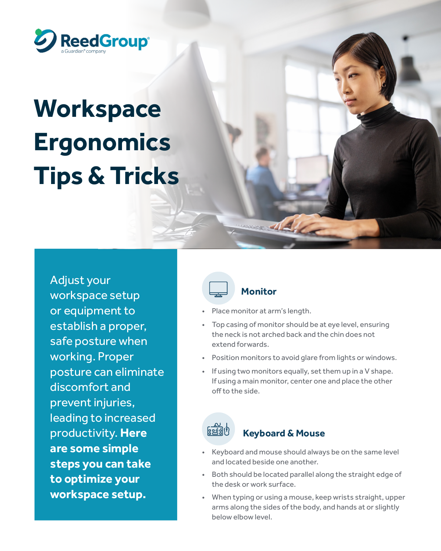

# **Workspace Ergonomics Tips & Tricks**

Adjust your workspace setup or equipment to establish a proper, safe posture when working. Proper posture can eliminate discomfort and prevent injuries, leading to increased productivity. **Here are some simple steps you can take to optimize your workspace setup.**



#### **Monitor**

- Place monitor at arm's length.
- Top casing of monitor should be at eye level, ensuring the neck is not arched back and the chin does not extend forwards.

145

- Position monitors to avoid glare from lights or windows.
- If using two monitors equally, set them up in a V shape. If using a main monitor, center one and place the other off to the side.



#### **Keyboard & Mouse**

- Keyboard and mouse should always be on the same level and located beside one another.
- Both should be located parallel along the straight edge of the desk or work surface.
- When typing or using a mouse, keep wrists straight, upper arms along the sides of the body, and hands at or slightly below elbow level.